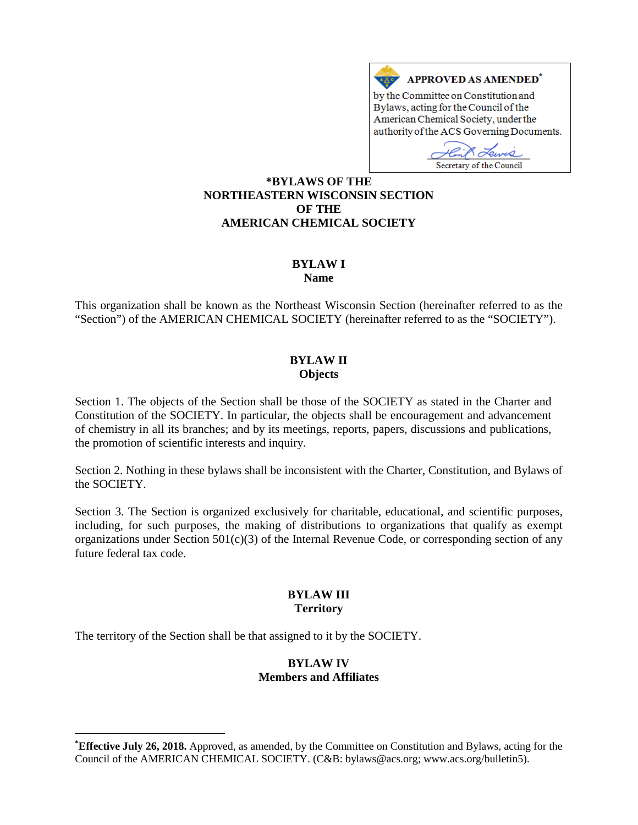

Secretary of the Council **[\\*](#page-0-0)BYLAWS OF THE NORTHEASTERN WISCONSIN SECTION OF THE AMERICAN CHEMICAL SOCIETY**

# **BYLAW I**

**Name**

This organization shall be known as the Northeast Wisconsin Section (hereinafter referred to as the "Section") of the AMERICAN CHEMICAL SOCIETY (hereinafter referred to as the "SOCIETY").

#### **BYLAW II Objects**

Section 1. The objects of the Section shall be those of the SOCIETY as stated in the Charter and Constitution of the SOCIETY. In particular, the objects shall be encouragement and advancement of chemistry in all its branches; and by its meetings, reports, papers, discussions and publications, the promotion of scientific interests and inquiry.

Section 2. Nothing in these bylaws shall be inconsistent with the Charter, Constitution, and Bylaws of the SOCIETY.

Section 3. The Section is organized exclusively for charitable, educational, and scientific purposes, including, for such purposes, the making of distributions to organizations that qualify as exempt organizations under Section 501(c)(3) of the Internal Revenue Code, or corresponding section of any future federal tax code.

#### **BYLAW III Territory**

The territory of the Section shall be that assigned to it by the SOCIETY.

 $\overline{a}$ 

#### **BYLAW IV Members and Affiliates**

<span id="page-0-0"></span>**<sup>\*</sup> Effective July 26, 2018.** Approved, as amended, by the Committee on Constitution and Bylaws, acting for the Council of the AMERICAN CHEMICAL SOCIETY. (C&B: bylaws@acs.org; www.acs.org/bulletin5).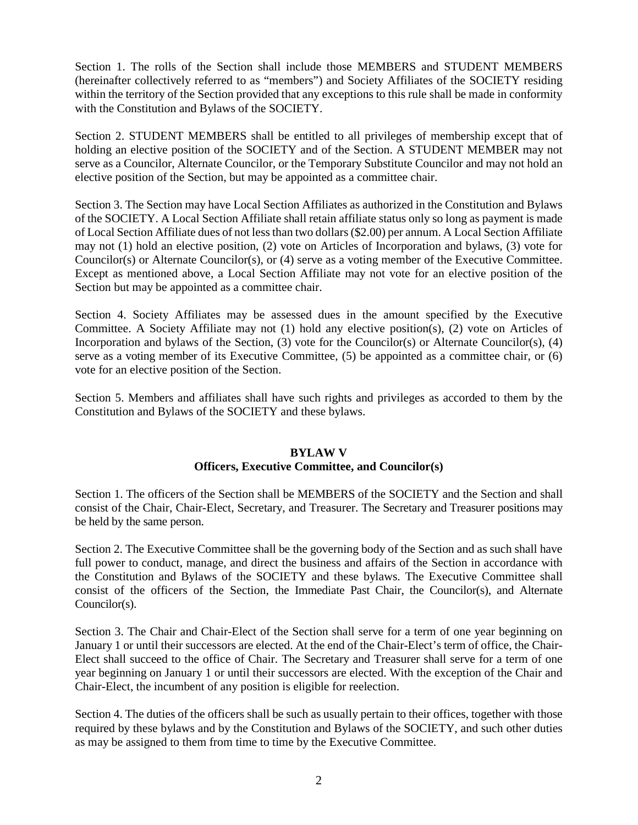Section 1. The rolls of the Section shall include those MEMBERS and STUDENT MEMBERS (hereinafter collectively referred to as "members") and Society Affiliates of the SOCIETY residing within the territory of the Section provided that any exceptions to this rule shall be made in conformity with the Constitution and Bylaws of the SOCIETY.

Section 2. STUDENT MEMBERS shall be entitled to all privileges of membership except that of holding an elective position of the SOCIETY and of the Section. A STUDENT MEMBER may not serve as a Councilor, Alternate Councilor, or the Temporary Substitute Councilor and may not hold an elective position of the Section, but may be appointed as a committee chair.

Section 3. The Section may have Local Section Affiliates as authorized in the Constitution and Bylaws of the SOCIETY. A Local Section Affiliate shall retain affiliate status only so long as payment is made of Local Section Affiliate dues of not less than two dollars (\$2.00) per annum. A Local Section Affiliate may not (1) hold an elective position, (2) vote on Articles of Incorporation and bylaws, (3) vote for Councilor(s) or Alternate Councilor(s), or (4) serve as a voting member of the Executive Committee. Except as mentioned above, a Local Section Affiliate may not vote for an elective position of the Section but may be appointed as a committee chair.

Section 4. Society Affiliates may be assessed dues in the amount specified by the Executive Committee. A Society Affiliate may not (1) hold any elective position(s), (2) vote on Articles of Incorporation and bylaws of the Section, (3) vote for the Councilor(s) or Alternate Councilor(s), (4) serve as a voting member of its Executive Committee, (5) be appointed as a committee chair, or (6) vote for an elective position of the Section.

Section 5. Members and affiliates shall have such rights and privileges as accorded to them by the Constitution and Bylaws of the SOCIETY and these bylaws.

#### **BYLAW V Officers, Executive Committee, and Councilor(s)**

Section 1. The officers of the Section shall be MEMBERS of the SOCIETY and the Section and shall consist of the Chair, Chair-Elect, Secretary, and Treasurer. The Secretary and Treasurer positions may be held by the same person.

Section 2. The Executive Committee shall be the governing body of the Section and as such shall have full power to conduct, manage, and direct the business and affairs of the Section in accordance with the Constitution and Bylaws of the SOCIETY and these bylaws. The Executive Committee shall consist of the officers of the Section, the Immediate Past Chair, the Councilor(s), and Alternate Councilor(s).

Section 3. The Chair and Chair-Elect of the Section shall serve for a term of one year beginning on January 1 or until their successors are elected. At the end of the Chair-Elect's term of office, the Chair-Elect shall succeed to the office of Chair. The Secretary and Treasurer shall serve for a term of one year beginning on January 1 or until their successors are elected. With the exception of the Chair and Chair-Elect, the incumbent of any position is eligible for reelection.

Section 4. The duties of the officers shall be such as usually pertain to their offices, together with those required by these bylaws and by the Constitution and Bylaws of the SOCIETY, and such other duties as may be assigned to them from time to time by the Executive Committee.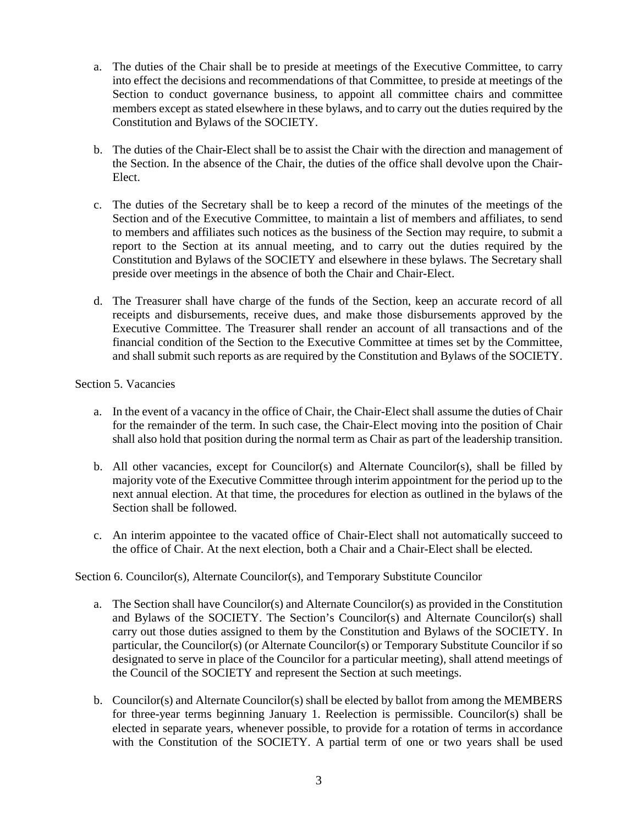- a. The duties of the Chair shall be to preside at meetings of the Executive Committee, to carry into effect the decisions and recommendations of that Committee, to preside at meetings of the Section to conduct governance business, to appoint all committee chairs and committee members except as stated elsewhere in these bylaws, and to carry out the duties required by the Constitution and Bylaws of the SOCIETY.
- b. The duties of the Chair-Elect shall be to assist the Chair with the direction and management of the Section. In the absence of the Chair, the duties of the office shall devolve upon the Chair-Elect.
- c. The duties of the Secretary shall be to keep a record of the minutes of the meetings of the Section and of the Executive Committee, to maintain a list of members and affiliates, to send to members and affiliates such notices as the business of the Section may require, to submit a report to the Section at its annual meeting, and to carry out the duties required by the Constitution and Bylaws of the SOCIETY and elsewhere in these bylaws. The Secretary shall preside over meetings in the absence of both the Chair and Chair-Elect.
- d. The Treasurer shall have charge of the funds of the Section, keep an accurate record of all receipts and disbursements, receive dues, and make those disbursements approved by the Executive Committee. The Treasurer shall render an account of all transactions and of the financial condition of the Section to the Executive Committee at times set by the Committee, and shall submit such reports as are required by the Constitution and Bylaws of the SOCIETY.

### Section 5. Vacancies

- a. In the event of a vacancy in the office of Chair, the Chair-Elect shall assume the duties of Chair for the remainder of the term. In such case, the Chair-Elect moving into the position of Chair shall also hold that position during the normal term as Chair as part of the leadership transition.
- b. All other vacancies, except for Councilor(s) and Alternate Councilor(s), shall be filled by majority vote of the Executive Committee through interim appointment for the period up to the next annual election. At that time, the procedures for election as outlined in the bylaws of the Section shall be followed.
- c. An interim appointee to the vacated office of Chair-Elect shall not automatically succeed to the office of Chair. At the next election, both a Chair and a Chair-Elect shall be elected.

### Section 6. Councilor(s), Alternate Councilor(s), and Temporary Substitute Councilor

- a. The Section shall have Councilor(s) and Alternate Councilor(s) as provided in the Constitution and Bylaws of the SOCIETY. The Section's Councilor(s) and Alternate Councilor(s) shall carry out those duties assigned to them by the Constitution and Bylaws of the SOCIETY. In particular, the Councilor(s) (or Alternate Councilor(s) or Temporary Substitute Councilor if so designated to serve in place of the Councilor for a particular meeting), shall attend meetings of the Council of the SOCIETY and represent the Section at such meetings.
- b. Councilor(s) and Alternate Councilor(s) shall be elected by ballot from among the MEMBERS for three-year terms beginning January 1. Reelection is permissible. Councilor(s) shall be elected in separate years, whenever possible, to provide for a rotation of terms in accordance with the Constitution of the SOCIETY. A partial term of one or two years shall be used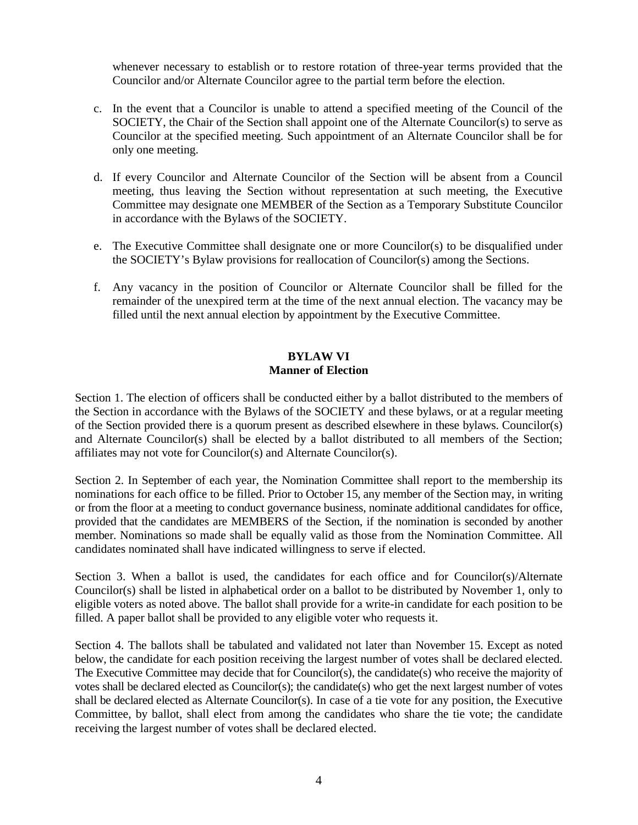whenever necessary to establish or to restore rotation of three-year terms provided that the Councilor and/or Alternate Councilor agree to the partial term before the election.

- c. In the event that a Councilor is unable to attend a specified meeting of the Council of the SOCIETY, the Chair of the Section shall appoint one of the Alternate Councilor(s) to serve as Councilor at the specified meeting. Such appointment of an Alternate Councilor shall be for only one meeting.
- d. If every Councilor and Alternate Councilor of the Section will be absent from a Council meeting, thus leaving the Section without representation at such meeting, the Executive Committee may designate one MEMBER of the Section as a Temporary Substitute Councilor in accordance with the Bylaws of the SOCIETY.
- e. The Executive Committee shall designate one or more Councilor(s) to be disqualified under the SOCIETY's Bylaw provisions for reallocation of Councilor(s) among the Sections.
- f. Any vacancy in the position of Councilor or Alternate Councilor shall be filled for the remainder of the unexpired term at the time of the next annual election. The vacancy may be filled until the next annual election by appointment by the Executive Committee.

### **BYLAW VI Manner of Election**

Section 1. The election of officers shall be conducted either by a ballot distributed to the members of the Section in accordance with the Bylaws of the SOCIETY and these bylaws, or at a regular meeting of the Section provided there is a quorum present as described elsewhere in these bylaws. Councilor(s) and Alternate Councilor(s) shall be elected by a ballot distributed to all members of the Section; affiliates may not vote for Councilor(s) and Alternate Councilor(s).

Section 2. In September of each year, the Nomination Committee shall report to the membership its nominations for each office to be filled. Prior to October 15, any member of the Section may, in writing or from the floor at a meeting to conduct governance business, nominate additional candidates for office, provided that the candidates are MEMBERS of the Section, if the nomination is seconded by another member. Nominations so made shall be equally valid as those from the Nomination Committee. All candidates nominated shall have indicated willingness to serve if elected.

Section 3. When a ballot is used, the candidates for each office and for Councilor(s)/Alternate Councilor(s) shall be listed in alphabetical order on a ballot to be distributed by November 1, only to eligible voters as noted above. The ballot shall provide for a write-in candidate for each position to be filled. A paper ballot shall be provided to any eligible voter who requests it.

Section 4. The ballots shall be tabulated and validated not later than November 15. Except as noted below, the candidate for each position receiving the largest number of votes shall be declared elected. The Executive Committee may decide that for Councilor(s), the candidate(s) who receive the majority of votes shall be declared elected as Councilor(s); the candidate(s) who get the next largest number of votes shall be declared elected as Alternate Councilor(s). In case of a tie vote for any position, the Executive Committee, by ballot, shall elect from among the candidates who share the tie vote; the candidate receiving the largest number of votes shall be declared elected.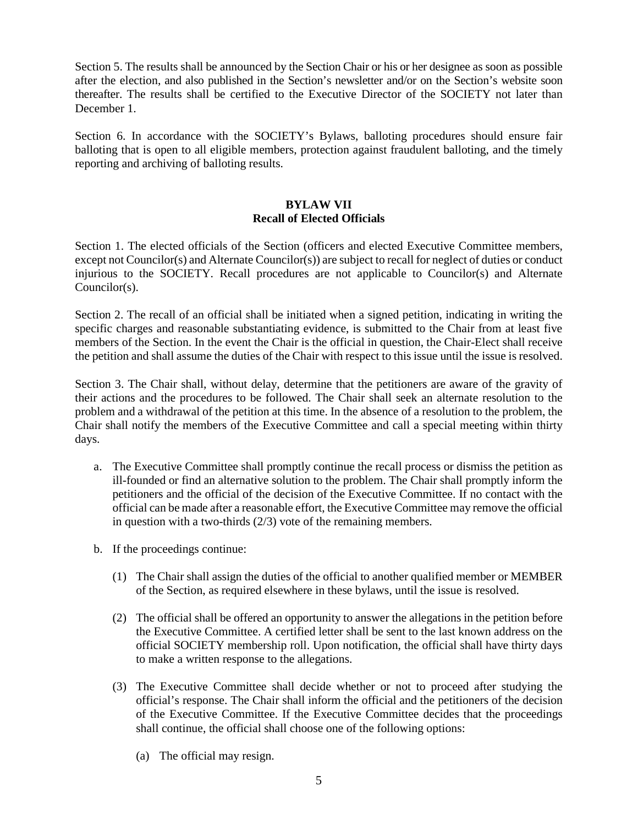Section 5. The results shall be announced by the Section Chair or his or her designee as soon as possible after the election, and also published in the Section's newsletter and/or on the Section's website soon thereafter. The results shall be certified to the Executive Director of the SOCIETY not later than December 1.

Section 6. In accordance with the SOCIETY's Bylaws, balloting procedures should ensure fair balloting that is open to all eligible members, protection against fraudulent balloting, and the timely reporting and archiving of balloting results.

# **BYLAW VII Recall of Elected Officials**

Section 1. The elected officials of the Section (officers and elected Executive Committee members, except not Councilor(s) and Alternate Councilor(s)) are subject to recall for neglect of duties or conduct injurious to the SOCIETY. Recall procedures are not applicable to Councilor(s) and Alternate Councilor(s).

Section 2. The recall of an official shall be initiated when a signed petition, indicating in writing the specific charges and reasonable substantiating evidence, is submitted to the Chair from at least five members of the Section. In the event the Chair is the official in question, the Chair-Elect shall receive the petition and shall assume the duties of the Chair with respect to this issue until the issue is resolved.

Section 3. The Chair shall, without delay, determine that the petitioners are aware of the gravity of their actions and the procedures to be followed. The Chair shall seek an alternate resolution to the problem and a withdrawal of the petition at this time. In the absence of a resolution to the problem, the Chair shall notify the members of the Executive Committee and call a special meeting within thirty days.

- a. The Executive Committee shall promptly continue the recall process or dismiss the petition as ill-founded or find an alternative solution to the problem. The Chair shall promptly inform the petitioners and the official of the decision of the Executive Committee. If no contact with the official can be made after a reasonable effort, the Executive Committee may remove the official in question with a two-thirds (2/3) vote of the remaining members.
- b. If the proceedings continue:
	- (1) The Chair shall assign the duties of the official to another qualified member or MEMBER of the Section, as required elsewhere in these bylaws, until the issue is resolved.
	- (2) The official shall be offered an opportunity to answer the allegations in the petition before the Executive Committee. A certified letter shall be sent to the last known address on the official SOCIETY membership roll. Upon notification, the official shall have thirty days to make a written response to the allegations.
	- (3) The Executive Committee shall decide whether or not to proceed after studying the official's response. The Chair shall inform the official and the petitioners of the decision of the Executive Committee. If the Executive Committee decides that the proceedings shall continue, the official shall choose one of the following options:
		- (a) The official may resign.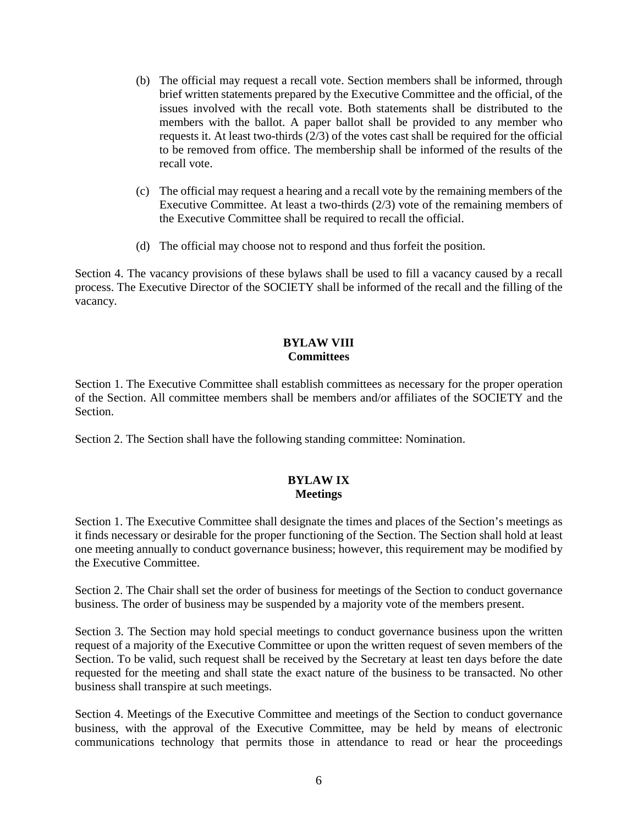- (b) The official may request a recall vote. Section members shall be informed, through brief written statements prepared by the Executive Committee and the official, of the issues involved with the recall vote. Both statements shall be distributed to the members with the ballot. A paper ballot shall be provided to any member who requests it. At least two-thirds (2/3) of the votes cast shall be required for the official to be removed from office. The membership shall be informed of the results of the recall vote.
- (c) The official may request a hearing and a recall vote by the remaining members of the Executive Committee. At least a two-thirds (2/3) vote of the remaining members of the Executive Committee shall be required to recall the official.
- (d) The official may choose not to respond and thus forfeit the position.

Section 4. The vacancy provisions of these bylaws shall be used to fill a vacancy caused by a recall process. The Executive Director of the SOCIETY shall be informed of the recall and the filling of the vacancy.

#### **BYLAW VIII Committees**

Section 1. The Executive Committee shall establish committees as necessary for the proper operation of the Section. All committee members shall be members and/or affiliates of the SOCIETY and the Section.

Section 2. The Section shall have the following standing committee: Nomination.

# **BYLAW IX Meetings**

Section 1. The Executive Committee shall designate the times and places of the Section's meetings as it finds necessary or desirable for the proper functioning of the Section. The Section shall hold at least one meeting annually to conduct governance business; however, this requirement may be modified by the Executive Committee.

Section 2. The Chair shall set the order of business for meetings of the Section to conduct governance business. The order of business may be suspended by a majority vote of the members present.

Section 3. The Section may hold special meetings to conduct governance business upon the written request of a majority of the Executive Committee or upon the written request of seven members of the Section. To be valid, such request shall be received by the Secretary at least ten days before the date requested for the meeting and shall state the exact nature of the business to be transacted. No other business shall transpire at such meetings.

Section 4. Meetings of the Executive Committee and meetings of the Section to conduct governance business, with the approval of the Executive Committee, may be held by means of electronic communications technology that permits those in attendance to read or hear the proceedings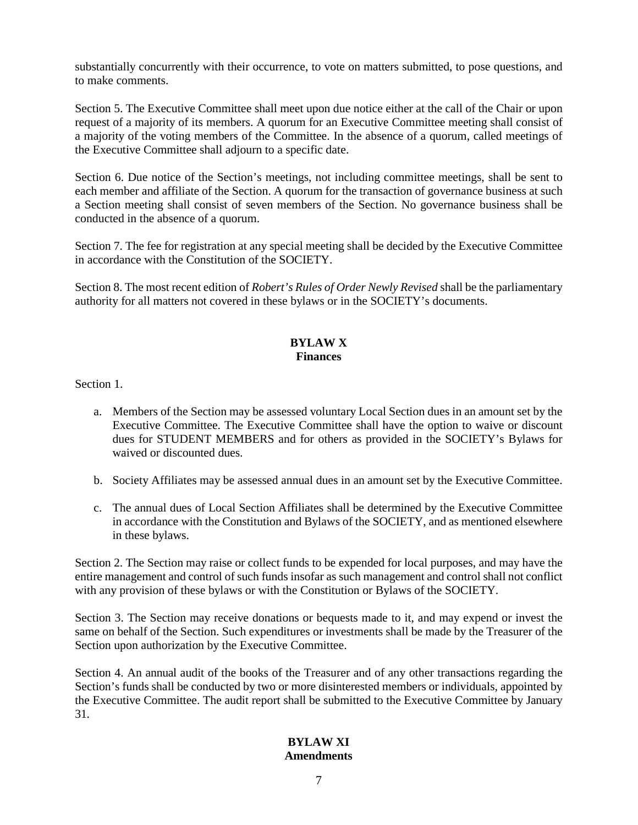substantially concurrently with their occurrence, to vote on matters submitted, to pose questions, and to make comments.

Section 5. The Executive Committee shall meet upon due notice either at the call of the Chair or upon request of a majority of its members. A quorum for an Executive Committee meeting shall consist of a majority of the voting members of the Committee. In the absence of a quorum, called meetings of the Executive Committee shall adjourn to a specific date.

Section 6. Due notice of the Section's meetings, not including committee meetings, shall be sent to each member and affiliate of the Section. A quorum for the transaction of governance business at such a Section meeting shall consist of seven members of the Section. No governance business shall be conducted in the absence of a quorum.

Section 7. The fee for registration at any special meeting shall be decided by the Executive Committee in accordance with the Constitution of the SOCIETY.

Section 8. The most recent edition of *Robert's Rules of Order Newly Revised* shall be the parliamentary authority for all matters not covered in these bylaws or in the SOCIETY's documents.

### **BYLAW X Finances**

Section 1.

- a. Members of the Section may be assessed voluntary Local Section dues in an amount set by the Executive Committee. The Executive Committee shall have the option to waive or discount dues for STUDENT MEMBERS and for others as provided in the SOCIETY's Bylaws for waived or discounted dues.
- b. Society Affiliates may be assessed annual dues in an amount set by the Executive Committee.
- c. The annual dues of Local Section Affiliates shall be determined by the Executive Committee in accordance with the Constitution and Bylaws of the SOCIETY, and as mentioned elsewhere in these bylaws.

Section 2. The Section may raise or collect funds to be expended for local purposes, and may have the entire management and control of such funds insofar as such management and control shall not conflict with any provision of these bylaws or with the Constitution or Bylaws of the SOCIETY.

Section 3. The Section may receive donations or bequests made to it, and may expend or invest the same on behalf of the Section. Such expenditures or investments shall be made by the Treasurer of the Section upon authorization by the Executive Committee.

Section 4. An annual audit of the books of the Treasurer and of any other transactions regarding the Section's funds shall be conducted by two or more disinterested members or individuals, appointed by the Executive Committee. The audit report shall be submitted to the Executive Committee by January 31.

### **BYLAW XI Amendments**